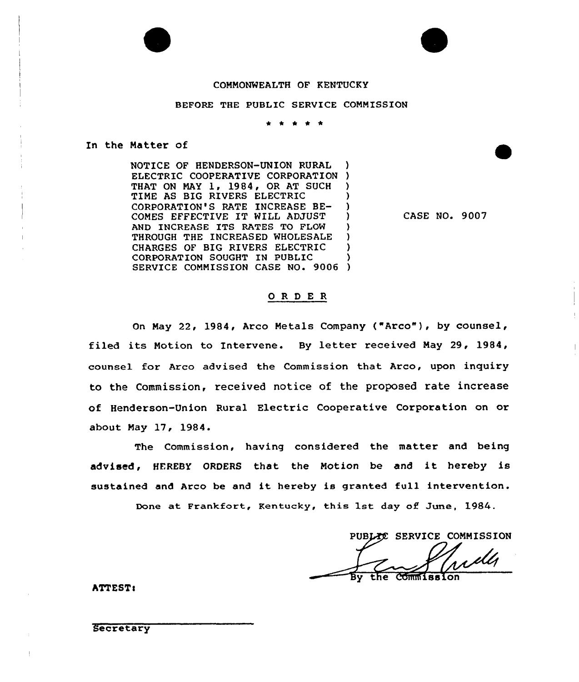# COMMONWEALTH OF KENTUCKY

## BEFORE THE PUBLIC SERVICE COMMISSION

\* \* \* \* \*

## In the Matter of

NOTICE OF HENDERSON-UNION RURAL ELECTRIC COOPERATIVE CORPORATION ) THAT ON MAY 1, 1984, OR AT SUCH TIME AS BIG RIVERS ELECTRIC CORPORATION'S RATE INCREASE BE-COMES EFFECTIVE IT WILL ADJUST ) AND INCREASE ITS RATES TO FLOW THROUGH THE INCREASED WHOLESALE CHARGES OF BIG RIVERS ELECTRIC CORPORATION SOUGHT IN PUBLIC ) SERVICE COMMISSION CASE NO. 9006 )

CASE NO. 9007

# 0 R <sup>D</sup> E <sup>R</sup>

On May 22, 1984, Arco Metals Company {"Arco"), by counsel, filed its Notion to Intervene. By letter received Nay 29, 1984, counsel for Arco advised the Commission that Arco, upon inquiry to the Commission, received notice of the proposed rate increase of Henderson-Union Rural Electric Cooperative Corporation on or about Nay 17, 1984.

The Commission, having considered the matter and being advised, HEREBY ORDERS that the Motion be and it hereby is sustained and Arco be and it hereby is granted full intervention.

Done at Frankfort, Kentucky, this 1st day of June, 1984.

PUBLEC SERVICE COMMISSION

**Commission** the

**ATTEST:** 

Secretary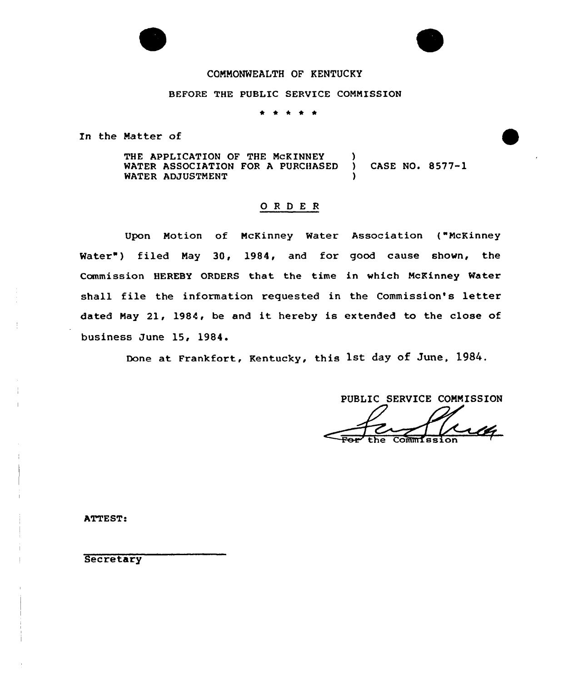# COMMONWEALTH OF KENTUCKY

# BEFORE THE PUBLIC SERVICE COMMISSION

\* \* \* \*

In the Matter of

THE APPLICATION OF THE MCKINNEY WATER ASSOCIATION FOR <sup>A</sup> PURCHASED ) CASE NO. 8577-1 WATER ADJUSTMENT

# ORDER

Upon Notion of NcKinney Water Association ("NcKinney Water") filed May 30, 1984, and for good cause shown, the Commission HEREBY ORDERS that the time in which McKinney Water shall file the information requested in the Commission's letter dated Nay 21, 1984, be and it hereby is extended to the close of business June 15, 1984.

Done at Frankfort, Kentucky, this 1st day of June, 1984.

PUBLIC SERVICE COMMISSION the Commission

ATTEST.

**Secretary**